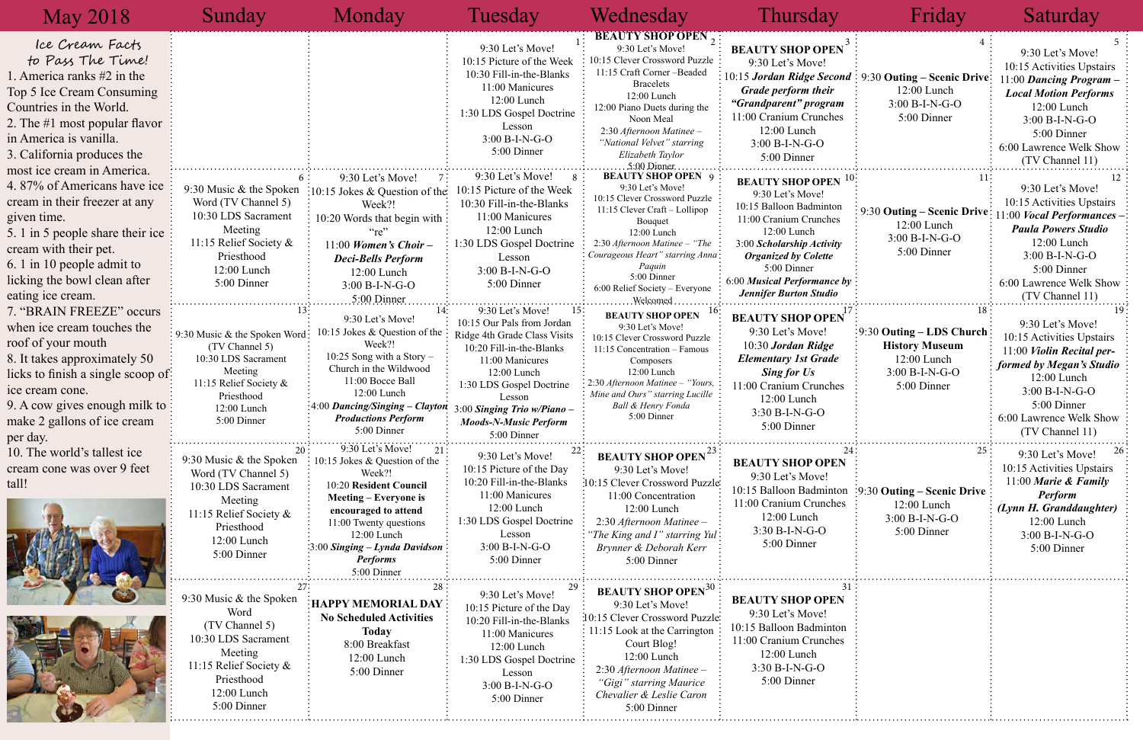| 3<br>EN                       | $\overline{4}$                             | 5<br>9:30 Let's Move!                                |
|-------------------------------|--------------------------------------------|------------------------------------------------------|
| cond                          | 9:30 Outing – Scenic Drive:<br>12:00 Lunch | 10:15 Activities Upstairs<br>11:00 Dancing Program - |
| r<br>am                       | 3:00 B-I-N-G-O                             | <b>Local Motion Performs</b>                         |
| hes                           | 5:00 Dinner                                | 12:00 Lunch<br>3:00 B-I-N-G-O                        |
|                               |                                            | 5:00 Dinner                                          |
|                               |                                            | 6:00 Lawrence Welk Show                              |
|                               |                                            | (TV Channel 11)                                      |
|                               |                                            |                                                      |
| $\mathbb{E} \mathbf{N}^{-10}$ | 11                                         | 12<br>9:30 Let's Move!                               |
|                               |                                            | 10:15 Activities Upstairs                            |
| ton                           | 9:30 Outing – Scenic Drive                 | 11:00 Vocal Performances                             |
| ies                           | 12:00 Lunch                                | <b>Paula Powers Studio</b>                           |
| ity                           | 3:00 B-I-N-G-O                             | 12:00 Lunch                                          |
| e                             | 5:00 Dinner                                | 3:00 B-I-N-G-O                                       |
|                               |                                            | 5:00 Dinner                                          |
| ce by                         |                                            | 6:00 Lawrence Welk Show                              |
| io                            |                                            | (TV Channel 11)                                      |
| 17                            | 18                                         | 19                                                   |
| EN                            |                                            | 9:30 Let's Move!                                     |
|                               | 9:30 Outing – LDS Church                   | 10:15 Activities Upstairs                            |
| e                             | <b>History Museum</b>                      | 11:00 Violin Recital per-                            |
| de                            | 12:00 Lunch                                | formed by Megan's Studio                             |
|                               | 3:00 B-I-N-G-O                             | 12:00 Lunch                                          |
| hes                           | 5:00 Dinner                                | 3:00 B-I-N-G-O                                       |
|                               |                                            | 5:00 Dinner                                          |
|                               |                                            | 6:00 Lawrence Welk Show                              |
|                               |                                            | (TV Channel 11)                                      |
| 24 <sup>1</sup>               | 25                                         | 26<br>9:30 Let's Move!                               |
| EN                            |                                            | 10:15 Activities Upstairs                            |
|                               |                                            | 11:00 Marie & Family                                 |
| ıton                          | $\frac{1}{2}9:30$ Outing – Scenic Drive    | <b>Perform</b>                                       |
| hes                           | 12:00 Lunch                                | (Lynn H. Granddaughter)                              |
|                               | 3:00 B-I-N-G-O                             | 12:00 Lunch                                          |
|                               | 5:00 Dinner                                | 3:00 B-I-N-G-O                                       |
|                               |                                            | 5:00 Dinner                                          |
|                               |                                            |                                                      |
|                               |                                            |                                                      |
|                               |                                            |                                                      |
| 31                            |                                            |                                                      |
| EN                            |                                            |                                                      |
|                               |                                            |                                                      |
| ıton                          |                                            |                                                      |
| hes                           |                                            |                                                      |
|                               |                                            |                                                      |
|                               |                                            |                                                      |
|                               |                                            |                                                      |
|                               |                                            |                                                      |
|                               |                                            |                                                      |

| <b>May 2018</b>                                                                                                                                                                                                                                           | Sunday                                                                                                                                                    | Monday                                                                                                                                                                                                                                                                      | Tuesday                                                                                                                                                                                                                                                            | Wednesday                                                                                                                                                                                                                                                                             | Thursday                                                                                                                                                                                                                                                   | Friday                                                                                                                     | Saturday                                                                                                                                                                                                        |
|-----------------------------------------------------------------------------------------------------------------------------------------------------------------------------------------------------------------------------------------------------------|-----------------------------------------------------------------------------------------------------------------------------------------------------------|-----------------------------------------------------------------------------------------------------------------------------------------------------------------------------------------------------------------------------------------------------------------------------|--------------------------------------------------------------------------------------------------------------------------------------------------------------------------------------------------------------------------------------------------------------------|---------------------------------------------------------------------------------------------------------------------------------------------------------------------------------------------------------------------------------------------------------------------------------------|------------------------------------------------------------------------------------------------------------------------------------------------------------------------------------------------------------------------------------------------------------|----------------------------------------------------------------------------------------------------------------------------|-----------------------------------------------------------------------------------------------------------------------------------------------------------------------------------------------------------------|
| Ice Cream Facts<br>to Pass The Time!<br>1. America ranks #2 in the<br>Top 5 Ice Cream Consuming<br>Countries in the World.<br>2. The #1 most popular flavor<br>in America is vanilla.<br>3. California produces the                                       |                                                                                                                                                           |                                                                                                                                                                                                                                                                             | 9:30 Let's Move!<br>10:15 Picture of the Week<br>10:30 Fill-in-the-Blanks<br>11:00 Manicures<br>12:00 Lunch<br>1:30 LDS Gospel Doctrine<br>Lesson<br>3:00 B-I-N-G-O<br>5:00 Dinner                                                                                 | `BEAUTY SHOP OPEN<br>9:30 Let's Move!<br>10:15 Clever Crossword Puzzle :<br>11:15 Craft Corner-Beaded<br><b>Bracelets</b><br>12:00 Lunch<br>12:00 Piano Duets during the<br>Noon Meal<br>2:30 Afternoon Matinee -<br>"National Velvet" starring<br>Elizabeth Taylor<br>5:00.Dinner.   | <b>BEAUTY SHOP OPEN</b><br>9:30 Let's Move!<br>10:15 Jordan Ridge Second: 9:30 Outing - Scenic Drive:<br><b>Grade perform their</b><br>"Grandparent" program<br>11:00 Cranium Crunches<br>12:00 Lunch<br>$3:00 B-I-N-G-O$<br>5:00 Dinner                   | 12:00 Lunch<br>$3:00 B-I-N-G-O$<br>5:00 Dinner                                                                             | 9:30 Let's Move!<br>10:15 Activities Upstairs<br>1:00 Dancing Program -<br><b>Local Motion Performs</b><br>12:00 Lunch<br>3:00 B-I-N-G-O<br>5:00 Dinner<br>6:00 Lawrence Welk Show<br>(TV Channel 11)           |
| most ice cream in America.<br>4.87% of Americans have ice<br>cream in their freezer at any<br>given time.<br>5. 1 in 5 people share their ice<br>cream with their pet.<br>6. 1 in 10 people admit to<br>licking the bowl clean after<br>eating ice cream. | 9:30 Music & the Spoken<br>Word (TV Channel 5)<br>10:30 LDS Sacrament<br>Meeting<br>11:15 Relief Society $\&$<br>Priesthood<br>12:00 Lunch<br>5:00 Dinner | 9:30 Let's Move!<br>:10:15 Jokes & Question of the<br>Week?!<br>10:20 Words that begin with<br>$\lq\lq\lq\lq\lq\lq\lq\lq$<br>11:00 Women's Choir -<br><b>Deci-Bells Perform</b><br>12:00 Lunch<br>$3:00 B-I-N-G-O$<br>5:00 Dinner                                           | 9:30 Let's Move!<br>10:15 Picture of the Week<br>10:30 Fill-in-the-Blanks<br>11:00 Manicures<br>12:00 Lunch<br>1:30 LDS Gospel Doctrine<br>Lesson<br>$3:00 B-I-N-G-O$<br>5:00 Dinner                                                                               | <b>BEAUTY SHOP OPEN</b> 9<br>9:30 Let's Move!<br>10:15 Clever Crossword Puzzle<br>11:15 Clever Craft - Lollipop<br>Bouquet<br>12:00 Lunch<br>2:30 Afternoon Matinee - "The<br>Courageous Heart" starring Anna:<br>Paquin<br>5:00 Dinner<br>6:00 Relief Society - Everyone<br>Welcomed | <b>BEAUTY SHOP OPEN</b><br>9:30 Let's Move!<br>10:15 Balloon Badminton<br>11:00 Cranium Crunches<br>12:00 Lunch<br>3:00 Scholarship Activity<br><b>Organized by Colette</b><br>5:00 Dinner<br>6:00 Musical Performance by<br><b>Jennifer Burton Studio</b> | 9:30 Outing – Scenic Drive<br>12:00 Lunch<br>3:00 B-I-N-G-O<br>5:00 Dinner                                                 | 9:30 Let's Move!<br>10:15 Activities Upstairs<br>1:00 <i>Vocal Performances</i> -<br><b>Paula Powers Studio</b><br>12:00 Lunch<br>$3:00 B-I-N-G-O$<br>5:00 Dinner<br>6:00 Lawrence Welk Show<br>(TV Channel 11) |
| 7. "BRAIN FREEZE" occurs<br>when ice cream touches the<br>roof of your mouth<br>8. It takes approximately 50<br>licks to finish a single scoop of:<br>ice cream cone.<br>9. A cow gives enough milk to:<br>make 2 gallons of ice cream<br>per day.        | 9:30 Music & the Spoken Word<br>(TV Channel 5)<br>10:30 LDS Sacrament<br>Meeting<br>11:15 Relief Society &<br>Priesthood<br>12:00 Lunch<br>5:00 Dinner    | 9:30 Let's Move!<br>10:15 Jokes & Question of the<br>Week?!<br>10:25 Song with a Story $-$<br>Church in the Wildwood<br>11:00 Bocce Ball<br>12:00 Lunch<br>$\frac{1}{2}4:00$ Dancing/Singing – Clayton<br><b>Productions Perform</b><br>5:00 Dinner                         | 9:30 Let's Move!<br>10:15 Our Pals from Jordan<br>Ridge 4th Grade Class Visits<br>10:20 Fill-in-the-Blanks<br>11:00 Manicures<br>12:00 Lunch<br>1:30 LDS Gospel Doctrine<br>Lesson<br>$3:00$ Singing Trio w/Piano -<br><b>Moods-N-Music Perform</b><br>5:00 Dinner | <b>BEAUTY SHOP OPEN</b><br>9:30 Let's Move!<br>10:15 Clever Crossword Puzzle<br>11:15 Concentration - Famous<br>Composers<br>12:00 Lunch<br>2:30 Afternoon Matinee - "Yours<br>Mine and Ours" starring Lucille<br><b>Ball &amp; Henry Fonda</b><br>5:00 Dinner                        | <b>BEAUTY SHOP OPEN</b><br>9:30 Let's Move!<br>$10:30$ Jordan Ridge<br><b>Elementary 1st Grade</b><br><b>Sing for Us</b><br>11:00 Cranium Crunches<br>12:00 Lunch<br>$3:30 B-I-N-G-O$<br>5:00 Dinner                                                       | $\frac{1}{2}$ 9:30 Outing – LDS Church<br><b>History Museum</b><br>12:00 Lunch<br>$3:00 B-I-N-G-O$<br>5:00 Dinner          | 9:30 Let's Move!<br>10:15 Activities Upstairs<br>11:00 Violin Recital per-<br>formed by Megan's Studio<br>12:00 Lunch<br>$3:00 B-I-N-G-O$<br>5:00 Dinner<br>6:00 Lawrence Welk Show<br>(TV Channel 11)          |
| 10. The world's tallest ice<br>cream cone was over 9 feet<br>tall!                                                                                                                                                                                        | 9:30 Music $&$ the Spoken<br>Word (TV Channel 5)<br>10:30 LDS Sacrament<br>Meeting<br>11:15 Relief Society &<br>Priesthood<br>12:00 Lunch<br>5:00 Dinner  | 9:30 Let's Move!<br>21<br>$\therefore$ 10:15 Jokes & Question of the<br>Week?!<br>10:20 Resident Council<br><b>Meeting – Everyone is</b><br>encouraged to attend<br>11:00 Twenty questions<br>12:00 Lunch<br>:00 Singing – Lynda Davidson<br><b>Performs</b><br>5:00 Dinner | 9:30 Let's Move!<br>10:15 Picture of the Day<br>10:20 Fill-in-the-Blanks<br>11:00 Manicures<br>$12:00$ Lunch<br>1:30 LDS Gospel Doctrine<br>Lesson<br>3:00 B-I-N-G-O<br>5:00 Dinner                                                                                | <b>BEAUTY SHOP OPEN<sup>23</sup></b><br>9:30 Let's Move!<br>10:15 Clever Crossword Puzzle<br>11:00 Concentration<br>12:00 Lunch<br>2:30 Afternoon Matinee -<br>"The King and I" starring Yul:<br>Brynner & Deborah Kerr<br>5:00 Dinner                                                | <b>BEAUTY SHOP OPEN</b><br>9:30 Let's Move!<br>11:00 Cranium Crunches<br>12:00 Lunch<br>$3:30 B-I-N-G-O$<br>5:00 Dinner                                                                                                                                    | 25 <sub>1</sub><br>10:15 Balloon Badminton :9:30 Outing - Scenic Drive :<br>12:00 Lunch<br>$3:00 B-I-N-G-O$<br>5:00 Dinner | 9:30 Let's Move!<br>10:15 Activities Upstairs<br>11:00 Marie & Family<br>Perform<br>(Lynn H. Granddaughter)<br>12:00 Lunch<br>$3:00 B-I-N-G-O$<br>5:00 Dinner                                                   |
|                                                                                                                                                                                                                                                           | 9:30 Music & the Spoken<br>Word<br>(TV Channel 5)<br>0:30 LDS Sacrament<br>Meeting<br>11:15 Relief Society &<br>Priesthood<br>12:00 Lunch<br>5:00 Dinner  | <b>HAPPY MEMORIAL DAY</b><br><b>No Scheduled Activities</b><br><b>Today</b><br>8:00 Breakfast<br>12:00 Lunch<br>5:00 Dinner                                                                                                                                                 | 9:30 Let's Move!<br>10:15 Picture of the Day<br>10:20 Fill-in-the-Blanks<br>11:00 Manicures<br>12:00 Lunch<br>1:30 LDS Gospel Doctrine<br>Lesson<br>3:00 B-I-N-G-O<br>5:00 Dinner                                                                                  | <b>BEAUTY SHOP OPEN<sup>3U</sup></b><br>9:30 Let's Move!<br>10:15 Clever Crossword Puzzle:<br>$\frac{1}{2}$ 11:15 Look at the Carrington :<br>Court Blog!<br>12:00 Lunch<br>2:30 Afternoon Matinee -<br>"Gigi" starring Maurice<br>Chevalier & Leslie Caron<br>5:00 Dinner            | <b>BEAUTY SHOP OPEN</b><br>9:30 Let's Move!<br>10:15 Balloon Badminton<br>11:00 Cranium Crunches<br>12:00 Lunch<br>3:30 B-I-N-G-O<br>5:00 Dinner                                                                                                           |                                                                                                                            |                                                                                                                                                                                                                 |